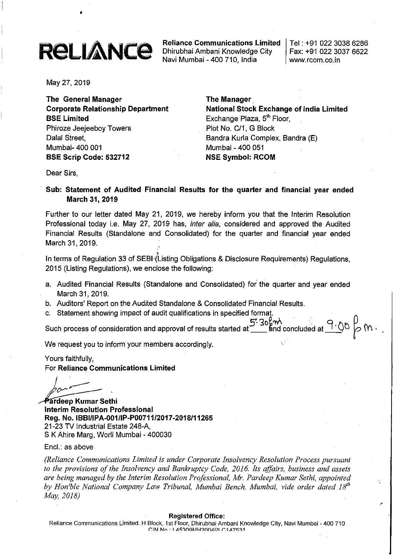# **ReLIANCE**

•

Reliance Communications Limited Dhirubhai Ambani Knowledge City Navi Mumbai - 400710, India

Tel: +91 02230386286 Fax: +91 022 3037 6622 www.rcom.co.in

May 27, 2019

The General Manager Corporate Relationship Department BSE Limited Phiroze Jeejeeboy Towers Dalal Street, Mumbai- 400 001 BSE Scrip Code: 532712

# The Manager

National Stock Exchange of India Limited Exchange Plaza, 5<sup>th</sup> Floor, Plot No. C/1, G Block Bandra Kurla Complex, Bandra (E) Mumbai - 400 051 NSE Symbol: RCOM

Dear Sirs,

Sub: Statement of Audited Financial Results for the quarter and financial year ended March 31, 2019

Further to our letter dated May 21, 2019, we hereby inform you that the Interim Resolution Professional today i.e. May 27, 2019 has, *inter alia,* considered and approved the Audited Financial Results (Standalone and Consolidated) for the quarter and financial year ended March 31, 2019.

In terms of Regulation 33 of SEBI (Listing Obligations & Disclosure Requirements) Regulations, 2015 (Listing Regulations), we enclose the following:

- a. Audited Financial Results (Standalone and Consolidated) for the quarter and year ended March 31, 2019.
- b. Auditors' Report on the Audited Standalone & Consolidated Financial Results.
- c. Statement showing impact of audit qualifications in specified format.

Such process of consideration and approval of results started at  $5.30\frac{\mu}{2}$  and concluded at  $9.00\frac{\mu}{2}$  M.

We request you to inform your members accordingly.

Yours faithfully, For Reliance Communications Limited

 $I^{(n+1)}$  $\int_{\partial P}$ *jJov---=--- .*

Pardeep Kumar Sethi Interim Resolution Professional Reg. No. IBBI/IPA-001/IP-P00711/2017·2018/11265 21-23 TV Industrial Estate 248-A, S K Ahire Marg, Worli Mumbai - 400030

Encl.: as above

*(Reliance Communications Limited is under Corporate Insolvency Resolution Process pursuant to the provisions of the Insolvency and Bankruptcy Code, 2016. Its affairs, business and assets are being managed by the Interim Resolution Professional, Mr. Pardeep Kumar Sethi, appointed by Hon'ble National Company Law Tribunal, Mumbai Bench, Mumbai, vide order dated 18th May, 2018)*

Registered Office:

Reliance Communications Limited. H Block, 1st Floor, Dhirubhai Ambani Knowledge City, Navi Mumbai - 400 710  $[CHN] \rightarrow 1.45300M$ H2004PLC147531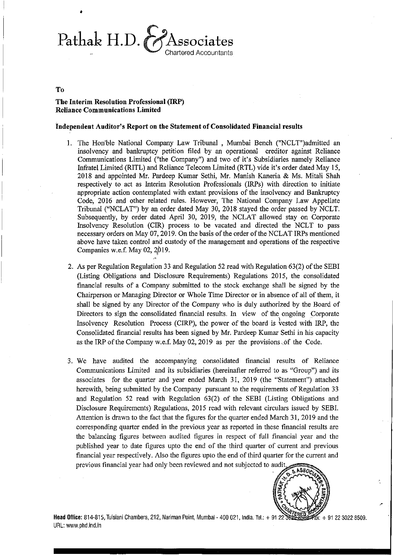Pathak H.D. & Associates Chartered Accountants

#### To

•

#### The Interim Resolution Professional (IRP) Reliance Communications Limited

#### Independent Auditor's Report on the Statement of Consolidated Financial results

- 1. The Hon'ble National Company Law Tribunal, Mumbai Bench ("NCLT")admitted an insolvency and bankruptcy petition filed by an operational creditor against Reliance Communications Limited ("the Company") and two of it's Subsidiaries namely Reliance Infratel Limited (RITL) and Reliance Telecom Limited (RTL) vide it's order dated May 15, 2018 and appointed Mr. Pardeep Kumar Sethi, Mr. Manish Kaneria & Ms. Mitali Shah respectively to act as Interim Resolution Professionals (IRPs) with direction to initiate appropriate action contemplated with extant provisions of the insolvency and Bankruptcy Code, 2016 and other related rules. However, The National Company Law Appellate Tribunal (''NCLAT'') by an order dated May 30, 2018 stayed the order passed by NCLT. Subsequently, by order dated April 30, 2019, the NCLAT allowed stay on Corporate Insolvency Resolution (CIR) process to be vacated and directed the NCLT to pass necessary orders on May 07, 2019. On the basis of the order of the NCLAT IRPs mentioned above have taken control and custody of the management and operations of the respective Companies w.e.f. May  $02, 2019$ .
- 2. As per Regulation Regulation 33 and Regulation 52 read with Regulation 63(2) of the SEBI (Listing Obligations and Disclosure Requirements) Regulations 2015, the consolidated financial results of a Company submitted to the stock exchange shall be signed by the Chairperson or Managing Director or Whole Time Director or in absence of all of them, it shall be signed by any Director of the Company who is duly authorized by the Board of Directors to sign the consolidated financial results. In view of the ongoing Corporate Insolvency Resolution Process (CIRP), the power of the board is vested with IRP, the Consolidated financial results has been signed by Mr. Pardeep Kumar Sethi in his capacity as the IRP of the Company w.e.f. May 02, 2019 as per the provisions of the Code.
- 3. We have audited the accompanying consolidated financial results of Reliance Communications Limited and its subsidiaries (hereinafter referred to as "Group") and its associates for the quarter and year ended March 31, 2019 (the "Statement") attached herewith, being submitted by the Company pursuant to the requirements of Regulation 33 and Regulation 52 read with Regulation 63(2) of the SEBI (Listing Obligations and Disclosure Requirements) Regulations, 2015 read with relevant circulars issued by SEBI. Attention is drawn to the fact that the figures for the quarter ended March 31, 2019 and the corresponding quarter ended in the previous year as reported in these financial results are the balancing figures between audited figures in respect of full financial year and the published year to date figures upto the end of the third quarter of current and previous financial year respectively. Also the figures upto the end ofthird quarter for the current and previous financial year had only been reviewed and not subjected to audit



,,'

Head Office: 814-815, Tulsiani Chambers, 212, Nariman Point, Mumbai - 400 021, India. Tel.: + 91 22 3022 #6. + 91 22 3022 8509. URL: www.phd.ind.in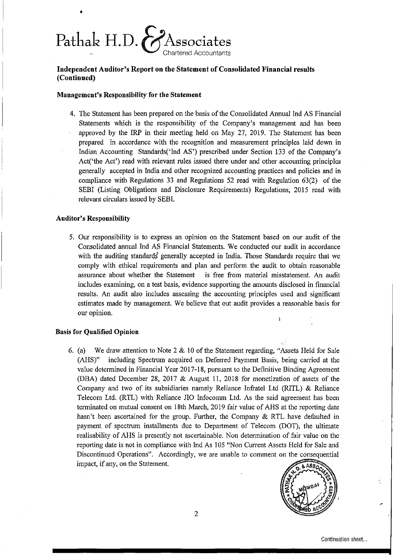

# Independent Anditor's Report on the Statement of Consolidated Financial results (Continued)

#### Management's Responsibility for the Statement

4. The Statement has been prepared on the basis ofthe Consolidated Annual Ind AS Financial Statements which is the responsibility of the Company's management and has been approved by the IRP in their meeting held on May 27, 2019. The Statement has been prepared in accordance with the recognition and measurement principles laid down in Indian Accounting Standards('Ind AS') prescribed under Section 133 of the Company's Act('the Act') read with relevant rules issued there under and other accounting principles generally accepted in India and other recognized accounting practices and policies and in compliance with Regulations 33 and Regulations 52 read with Regulation 63(2) of the SEBI (Listing Obligations and Disclosure Requirements) Regulations, 2015 read with relevant circulars issued by SEBI.

#### Auditor's Responsibility

•

5. Our responsibility is to express an opinion on the Statement based on our audit of the Consolidated annual Ind AS Financial Statements. We conducted our audit in accordance with the auditing standards generally accepted in India. Those Standards require that we comply with ethical requirements and plan and perform the audit to obtain reasonable assurance about whether the Statement is free from material misstatement. An audit includes examining, on a test basis, evidence supporting the amounts disclosed in financial results. An audit also includes assessing the accounting principles used and significant estimates made by management. We believe that out audit provides a reasonable basis for our opinion.

#### Basis for Qualified Opinion

6. (a) We draw attention to Note 2 & 10 of the Statement regarding, "Assets Held for Sale (AHS)" including Spectrum acquired on Deferred Payment Basis, being carried at the value determined in Financial Year 2017-18, pursuant to the Definitive Binding Agreement (DBA) dated December 28, 2017 & August 11, 2018 for monetization of assets of the Company and two of its subsidiaries namely Reliance Infratel Ltd (RITL) & Reliance Telecom Ltd. (RTL) with Reliance JIO Infocomm Ltd. As the said agreement has been terminated on mutual consent on 18th March, 2019 fair value of AHS at the reporting date hasn't been ascertained for the group. Further, the Company & RTL have defaulted in payment of spectrum installments due to Department of Telecom (DOT), the ultimate realisability of AHS is presently not ascertainable. Non determination of fair value on the reporting date is not in compliance with Ind As 105 "Non Current Assets Held for Sale and Discontinued Operations". Accordingly, we are unable to comment on the consequential impact, if any, on the Statement.

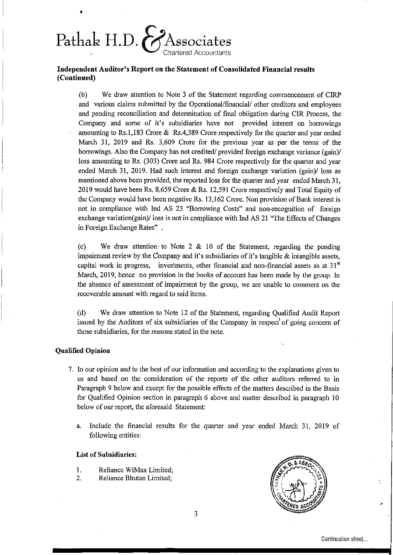# Pathak H.D.  $\&$ Associates

•

### **Independent Anditor's Report on the Statement of Consolidated Financial** resnits **(Continned)**

(b) We draw attention to Note 3 of the Statement regarding commencement of CIRP and various claims submitted by the Operational/financial/ other creditors and employees and pending reconciliation and determination of final obligation during CIR Process, the Company and some of it's subsidiaries have not provided interest on borrowings amounting to Rs.I,183 Crore & Rs.4,389 Crore respectively for the quarter and year ended March 31, 2019 and Rs. 3,609 Crore for the previous year as per the terms of the borrowings. Also the Company has not credited/ provided foreign exchange variance (gain)/ loss amounting to Rs. (303) Crore and Rs. 984 Crore respectively for the quarter and year ended March 31, 2019. Had such interest and foreign exchange variation (gain)/ loss as mentioned above been provided, the reported loss for the quarter and year ended March 31, 2019 would have been Rs. 8,659 Crore & Rs. 12,591 Crore respectively and Total Equity of the Company would have been negative Rs. 13,162 Crore. Non provision of Bank interest is not in compliance with Ind AS 23 "Borrowing Costs" and non-recognition of foreign exchange variation(gain)/ loss is not in compliance with Ind AS 21 "The Effects of Changes in Foreign Exchange Rates" .

(c) We draw attention to Note 2  $\&$  10 of the Statement, regarding the pending impairment review by the Company and it's subsidiaries of it's tangible  $\&$  intangible assets, capital work in progress, investments, other financial and non-financial assets as at  $31<sup>st</sup>$ March, 2019, hence no provision in the books of account has been made by the group. In the absence of assessment of impairment by the group, we are unable to comment on the recoverable amount with regard to said items.

(d) We draw attention to Note 12 of the Statement, regarding Qualified Audit Report issued by the Auditors of six subsidiaries of the Company in respect' of going concern of those subsidiaries, for the reasons stated in the note.

#### **Qualified Opinion**

- 7. In our opinion and to the best of our information and according to the explanations given to us and based on the consideration of the reports of the other auditors referred to in Paragraph 9 below and except for the possible effects of the matters described in the Basis for Qualified Opinion section in paragraph 6 above and matter described in paragraph 10 below of our report, the aforesaid Statement:
	- a. Include the financial results for the quarter and year ended March 31, 2019 of following entities:

#### List **of** Subsidiaries:

- I. Reliance WiMax Limited;
- 2. Reliance Bhutan Limited;

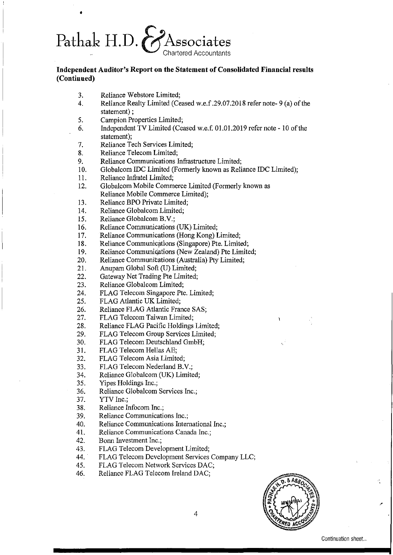# Pathak H.D.  $\&$ Associates

## **Independent Auditor's Report on the Statement of Consolidated Financial results (Continued)**

3. Reliance Webstore Limited;

- 4. Reliance Realty Limited (Ceased w.e.f. 29.07.2018 refer note-9(a) of the statement) ;
- 5. Campion Properties Limited;
- 6. Independent TV Limited (Ceased w.e.f. 01.01.2019 refer note 10 ofthe statement);
- 7. Reliance Tech Services Limited;
- 8. Reliance Telecom Limited;
- 9. Reliance Communications Infrastructure Limited;
- 10. Globalcom IDC Limited (Formerly known as Reliance IDC Limited);
- 11. Reliance Infratel Limited;
- 12. Globalcom Mobile Commerce Limited (Formerly known as Reliance Mobile Commerce Limited);
- 13. Reliance BPO Private Limited;
- 14. Reliance Globalcom Limited;
- 15. Reliance Globalcom B.V.;
- 16. Reliance Communications (UK) Limited;
- 17. Reliance Communications (Hong Kong) Limited;
- 18. Reliance Communications (Singapore) Pte. Limited;
- 19. Reliance Communications (New Zealand) Pte Limited;
- 20. Reliance Communications (Australia) Pty Limited;
- 21. Anupam Global Soft (U) Limited;
- 22. Gateway Net Trading Pte Limited;
- 23. Reliance Globalcom Limited;
- 24. FLAG Telecom Singapore Pte. Limited;
- 25. FLAG Atlantic UK Limited;
- 26. Reliance FLAG Atlantic France SAS;
- 27. FLAG Telecom Taiwan Limited;
- 28. Reliance FLAG Pacific Holdings Limited;
- 29. FLAG Telecom Group Services Limited;
- 30. FLAG Telecom Deutschland GmbH;
- 31. FLAG Telecom Hellas AE;
- 32. FLAG Telecom Asia Limited;
- 33. FLAG Telecom Nederland B.V.;
- 34. Reliance Globalcom (UK) Limited;
- 35. Yipes Holdings Inc.;
- 36. Reliance Globalcom Services Inc.;
- 37. YTV Inc.;
- 38. Reliance Infocom Inc.;
- 39. Reliance Communications Inc.;
- 40. Reliance Communications International Inc.;
- 41. Reliance Communications Canada Inc.;
- 42. Bonn Investment Inc.;
- 43. FLAG Telecom Development Limited;
- 44. FLAG Telecom Development Services Company LLC;
- 45. FLAG Telecom Network Services DAC;
- 46. Reliance FLAG Telecom Ireland DAC;

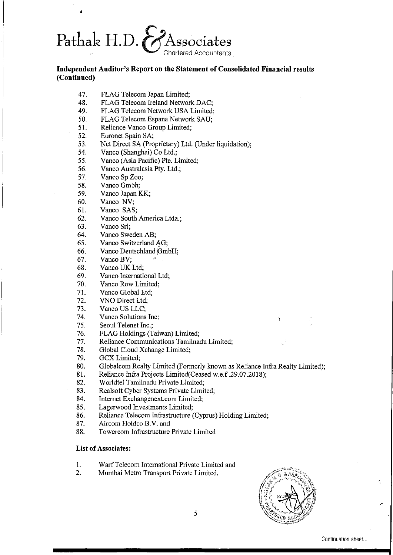

# Independent Auditor's Report on the Statement of Consolidated Financial results (Continued)

- 47. FLAG Telecom Japan Limited;
- 48. FLAG Telecom Ireland Network DAC;
- 49. FLAG Telecom Network USA Limited;
- 50. FLAG Telecom Espana Network SAU;
- 51. Reliance Vanco Group Limited;
- 52. Euronet Spain SA;

•

- 53. Net Direct SA (Proprietary) Ltd. (Under liquidation);
- 54. Vanco (Shanghai) Co Ltd.;
- 55. Vanco (Asia Pacific) Pte. Limited;
- 56. Vanco Australasia Pty. Ltd.;
- 57. Vanco Sp Zoo;
- 58. Vanco Gmbh;
- 59. Vanco Japan KK;
- 60. Vanco NV;
- 61. Vanco SAS;
- 62. Vanco South America Ltda.;
- 63. Vanco Srl;
- 64. Vanco Sweden AB;
- 65. Vanco Switzerland AG;
- 66. Vanco Deutschland GmbH;
- $67.$  Vanco BV:
- 68. Vanco UK Ltd;
- 69. Vanco International Ltd;
- 70. Vanco Row Limited;
- 71. Vanco Global Ltd;
- 72. VNO Direct Ltd;
- 73. Vanco US LLC;
- 74. Vanco Solutions Inc;
- 75. Seoul Telenet Inc.;
- 76. FLAG Holdings (Taiwan) Limited;
- 77. Reliance Communications Tamilnadu Limited;
- 78. Global Cloud Xchange Limited;
- 79. GCX Limited;
- 80. Globalcom Realty Limited (Formerly known as Reliance Infra Realty Limited);
- 81. Reliance Infra Projects Limited(Ceased w.e.f .29.07.2018);
- 82. Worldtel Tamilnadu Private Limited;
- 83. Realsoft Cyber Systems Private Limited;
- 84. Internet Exchangenext.com Limited;
- 85. Lagerwood Investments Limited;
- 86. Reliance Telecom Infrastructure (Cyprus) Holding Limited;
- 87. Aircom Holdco B.V. and
- 88. Towercom Infrastructure Private Limited

#### List of Associates:

- I. WarfTelecom International Private Limited and
- 2. Mumbai Metro Transport Private Limited.

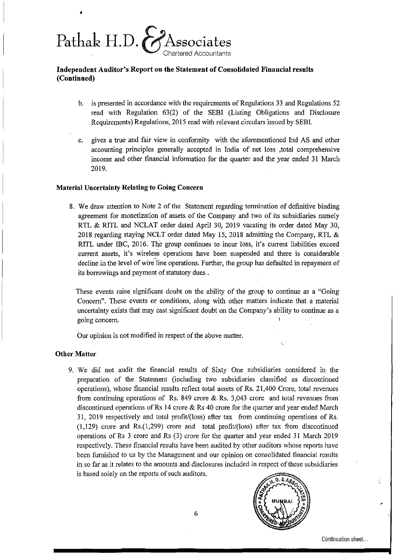

# Independent Auditor's Report on the Statement of Consolidated Financial results (Coutinued)

- b. is presented in accordance with the requirements of Regulations 33 and Regulations 52 read with Regulation 63(2) of the SEBI (Listing Obligations and Disclosure Requirements) Regulations, 2015 read with relevant circulars issued by SEBL
- c. gives a true and fair view in confonnity with the aforementioned Ind AS and other accounting principles generally accepted in India of net loss ,total comprehensive income and other financial infonnation for the quarter and the year ended 31 March 2019.

#### Material Uncertainty Relating to Going Concern

8. We draw attention to Note 2 of the Statement regarding termination of definitive binding agreement for monetization of assets of the Company and two of its subsidiaries namely RTL & RITL and NCLAT order dated April 30, 2019 vacating its order dated May 30, 2018 regarding staying NCLT order dated May 15, 2018 admitting the Company, RTL & RITL under IBC,  $2016$ . The group continues to incur loss, it's current liabilities exceed current assets, it's wireless operations have been suspended and there is considerable decline in the level of wire line operations. Further, the group has defaulted in repayment of its borrowings and payment of statutory dues.

These events raise significant doubt on the ability of the group to continue as a "Going Concern". These events or conditions, along with other matters indicate that a material uncertainty exists that may cast significant doubt on the Company's ability to continue as a going concern.

Our opinion is not modified in respect of the above matter.

#### Other Matter

9. We did not audit the financial results of Sixty One subsidiaries considered in the preparation of the Statement (including two subsidiaries classified as discontinued operations), whose financial results reflect total assets of Rs. 21,400 Crore, total revenues from continuing operations of Rs. 849 crore & Rs. 3,043 crore and total revenues from discontinued operations of Rs 14 crore  $\&$  Rs 40 crore for the quarter and year ended March 31, 2019 respectively and total profit/(loss) after tax from continuing operations of Rs. (1,129) crore and Rs.(l,299) crore and total profit/(loss) after tax from discontinued operations of Rs 3 crore and Rs (3) crore for the quarter and year ended 31 March 2019 respectively. These financial results have been audited by other auditors whose reports have been furnished to us by the Management and our opinion on consolidated financial results in so far as it relates to the amounts and disclosures included in respect of these subsidiaries is based solely on the reports of such auditors.

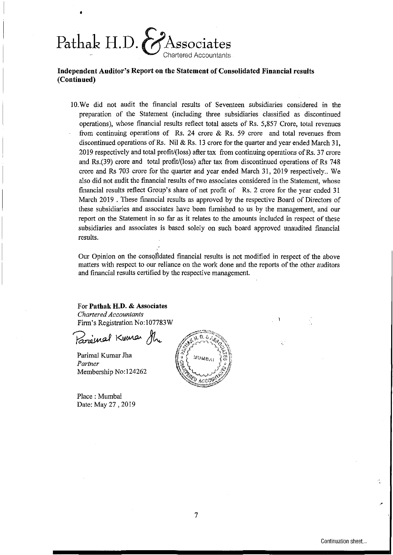

# **Independent Anditor's Report on the Statement of Consolidated Financial** resnits **(Continned)**

10.We did not audit the financial results of Seventeen subsidiaries considered in the preparation of the Statement (including three subsidiaries classified as discontinued operations), whose financial results reflect total assets of Rs. 5,857 Crore, total revenues from continuing operations of Rs. 24 crore  $\&$  Rs. 59 crore and total revenues from discontinued operations of Rs. Nil & Rs. 13 crore for the quarter and year ended March 31, 2019 respectively and total profit/(loss) after tax from continuing operations ofRs. 37 crore and Rs.(39) crore and total profit/(loss) after tax from discontinued operations of Rs 748 crore and Rs 703 crore for the quarter and year ended March 31, 2019 respectively.. We also did not audit the financial results oftwo associates considered in the Statement, whose financial results reflect Group's share of net profit of Rs. 2 crore for the year ended 31 March 2019 . These financial results as approved by the respective Board of Directors of these subsidiaries and associates have been furnished to us by the management, and our report on the Statement in so far as it relates to the amounts included in respect of these subsidiaries and associates is based solely on such board approved unaudited financial results.

Our Opinion on the consq!ldated financial results is not modified in respect of the above matters with respect to our reliance on the work done and the reports of the other auditors and financial results certified by the respective management.

For **Pathak H.D.** & Associates *Chartered Accountants* Firm's Registration No: 107783W

Parenal Kumar She

Parimal Kumar Jha *Partner* Membership No:124262

Place: Mumbai Date: May 27 , 2019



.'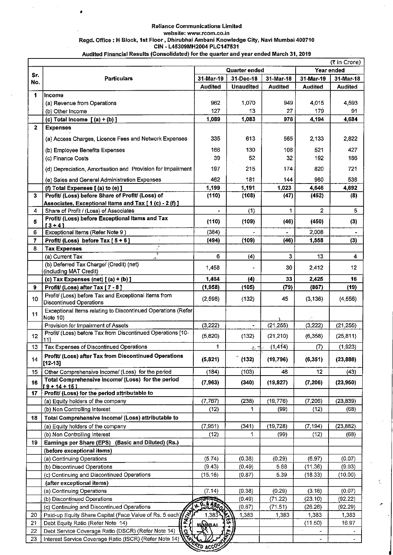#### Reliance Communications Limited website: www.rcom.co.in Regd. Office: H Block, 1st Floor, Dhirubhai Ambani Knowledge City, Navi Mumbai 400710 CIN - L45309MH2004 PLC147531 Audited Financial Results (Consolidated) for the quarter and year ended March 31, 2019

•

(a) Equity holders of the company (b) Non Controlling Interest

18 | Total Comprehensive Income/ (Loss) attributable to

|                |                                                                                        |                |                  |                |                | (₹ in Crore)   |
|----------------|----------------------------------------------------------------------------------------|----------------|------------------|----------------|----------------|----------------|
| Sr.            | Quarter ended                                                                          |                |                  | Year ended     |                |                |
| No.            | <b>Particulars</b>                                                                     | 31-Mar-19      | 31-Dec-18        | 31-Mar-18      | 31-Mar-19      | 31-Mar-18      |
|                |                                                                                        | <b>Audited</b> | <b>Unaudited</b> | <b>Audited</b> | <b>Audited</b> | <b>Audited</b> |
| 1              | Income                                                                                 |                |                  |                |                |                |
|                | (a) Revenue from Operations                                                            | 962            | 1,070            | 949            | 4.015          | 4.593          |
|                | (b) Other Income                                                                       | 127            | 13               | 27             | 179            | 91             |
|                | (c) Total Income $[(a) + (b)]$                                                         | 1,089          | 1,083            | 976            | 4,194          | 4,684          |
| $\mathbf{2}$   | <b>Expenses</b>                                                                        |                |                  |                |                |                |
|                | (a) Access Charges, Licence Fees and Network Expenses                                  | 335            | 613              | 565            | 2,133          | 2,822          |
|                | (b) Employee Benefits Expenses                                                         | 166            | 130              | 108            | 521            | 427            |
|                | (c) Finance Costs                                                                      | 39             | 52               | 32             | 192            | 186            |
|                | (d) Depreciation, Amortisation and Provision for Impairment                            | 197            | 215              | 174            | 820            | 721            |
|                | (e) Sales and General Administration Expenses                                          | 462            | 181              | 144            | 980            | 536            |
|                | (f) Total Expenses [(a) to (e)]                                                        | 1,199          | 1,191            | 1,023          | 4,646          | 4,692          |
| 3              | Profit/ (Loss) before Share of Profit/ (Loss) of                                       | (110)          | (108)            | (47)           | (452)          | (8)            |
|                | Associates, Exceptional Items and Tax [1 (c) - 2 (f) ]                                 |                |                  |                |                |                |
| 4              | Share of Profit / (Loss) of Associates                                                 |                | (1)              | 1              | $\overline{2}$ | 5              |
| 5              | Profit/ (Loss) before Exceptional Items and Tax<br>$13 - 41$                           | (110)          | (109)            | (46)           | (450)          | (3)            |
| 6              | Exceptional Items (Refer Note 9)                                                       | (384)          |                  |                | 2,008          |                |
| $\overline{7}$ | Profit/(Loss) before Tax [5 + 6]                                                       | (494)          | (109)            | (46)           | 1,558          | (3)            |
| 8              | <b>Tax Expenses</b>                                                                    |                |                  |                |                |                |
|                | (a) Current Tax<br>A                                                                   | 6              | (4)              | 3              | 13             | 4              |
|                | (b) Deferred Tax Charge/ (Credit) (net)<br>(including MAT Credit)                      | 1,458          |                  | 30             | 2,412          | 12             |
|                | (c) Tax Expenses (net) $(a) + (b)$ ]                                                   | 1,464          | (4)              | 33             | 2,425          | 16             |
| 9              | Profit/ (Loss) after Tax [7 - 8]                                                       | (1, 958)       | (105)            | (79)           | (867)          | (19)           |
| 10             | Profit/ (Loss) before Tax and Exceptional Items from<br><b>Discontinued Operations</b> | (2.598)        | (132)            | 45             | (3, 136)       | (4 556)        |
| 11             | Exceptional Items relating to Discontinued Operations (Refer)<br>Note 10)              |                |                  |                |                |                |
|                | Provision for Impairment of Assets                                                     | (3,222)        | $\blacksquare$   | (21, 255)      | (3,222)        | (21, 255)      |
| 12             | Profit/ (Loss) before Tax from Discontinued Operations [10-<br>111                     | (5.820)        | (132)            | (21,210)       | (6,358)        | (25,811)       |
| 13             | Tax Expenses of Discontinued Operations                                                | 1              | 5. Y             | (1, 414)       | (7)            | (1.923)        |
| 14             | Profit/ (Loss) after Tax from Discontinued Operations<br>$[12 - 13]$                   | (5, 821)       | (132)            | (19,796)       | (6, 351)       | (23, 888)      |
| 15             | Other Comprehensive Income/ (Loss) for the period                                      | (184)          | (103)            | 48             | 12             | (43)           |
| 16             | Total Comprehensive Income/ (Loss) for the period<br>$19 + 14 + 15$                    | (7, 963)       | (340)            | (19.827)       | (7, 206)       | (23,950)       |
| 17             | Profit/ (Loss) for the period attributable to                                          |                |                  |                |                |                |



 $(7,767)$ (12) (238)

1

(19,776) (99) (7,206) (12)

(23,839) (68)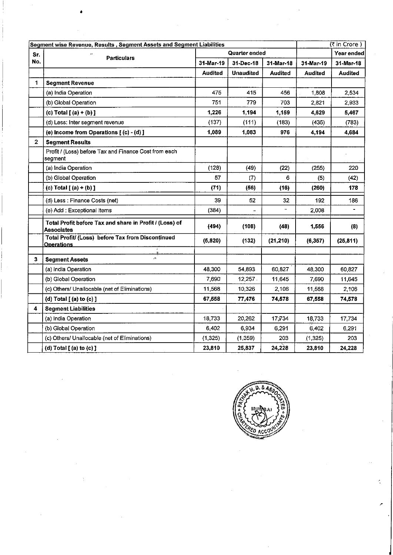|                | Segment wise Revenue, Results, Segment Assets and Segment Liabilities  |               |                  |                | $($ ₹ in Crore) |                |
|----------------|------------------------------------------------------------------------|---------------|------------------|----------------|-----------------|----------------|
| Sr.            | <b>Particulars</b>                                                     | Quarter ended |                  |                | Year ended      |                |
| No.            |                                                                        | 31-Mar-19     | 31-Dec-18        | 31-Mar-18      | 31-Mar-19       | 31-Mar-18      |
|                |                                                                        | Audited       | <b>Unaudited</b> | <b>Audited</b> | Audited         | <b>Audited</b> |
| 1              | <b>Segment Revenue</b>                                                 |               |                  |                |                 |                |
|                | (a) India Operation                                                    | 475           | 415              | 456            | 1,808           | 2,534          |
|                | (b) Global Operation                                                   | 751           | 779              | 703            | 2,821           | 2,933          |
|                | (c) Total $[(a)+(b)]$                                                  | 1,226         | 1,194            | 1,159          | 4,629           | 5,467          |
|                | (d) Less: Inter segment revenue                                        | (137)         | (111)            | (183)          | (435)           | (783)          |
|                | (e) Income from Operations [(c) - (d) ]                                | 1,089         | 1,083            | 976            | 4,194           | 4,684          |
| $\overline{2}$ | <b>Segment Results</b>                                                 |               |                  |                |                 |                |
|                | Profit / (Loss) before Tax and Finance Cost from each<br>segment       |               |                  |                |                 |                |
|                | (a) India Operation                                                    | (128)         | (49)             | (22)           | (255)           | 220            |
|                | (b) Global Operation                                                   | 57            | (7)              | 6              | (5)             | (42)           |
|                | (c) Total $[(a)+(b)]$                                                  | (71)          | (56)             | (16)           | (260)           | 178            |
|                | (d) Less : Finance Costs (net)                                         | 39            | 52               | 32             | 192             | 186            |
|                | (e) Add : Exceptional Items                                            | (384)         |                  | ۰.             | 2,008           | ä,             |
|                | Total Profit before Tax and share in Profit / (Loss) of<br>Associates  | (494)         | (108)            | (48)           | 1,556           | (8)            |
|                | Total Profit/ (Loss) before Tax from Discontinued<br><b>Operations</b> | (5,820)       | (132)            | (21, 210)      | (6, 357)        | (25, 811)      |
| $\mathbf{3}$   | A.<br><b>Segment Assets</b>                                            |               |                  |                |                 |                |
|                | (a) India Operation                                                    | 48,300        | 54,893           | 60,827         | 48,300          | 60,827         |
|                | (b) Global Operation                                                   | 7,690         | 12,257.          | 11,645         | 7,690           | 11,645         |
|                | (c) Others/ Unallocable (net of Eliminations)                          | 11,568        | 10,326           | 2,106          | 11,568          | 2,106          |
|                | (d) Total $[$ (a) to (c) $]$                                           | 67,558        | 77,476           | 74,578         | 67,558          | 74,578         |
| 4              | <b>Segment Liabilities</b>                                             |               |                  |                |                 |                |
|                | (a) India Operation                                                    | 18,733        | 20,262           | 17,734         | 18,733          | 17,734         |
|                | (b) Global Operation                                                   | 6,402         | 6.934            | 6,291          | 6,402           | 6.291          |
|                | (c) Others/ Unallocable (net of Eliminations)                          | (1, 325)      | (1, 359)         | 203            | (1, 325)        | 203            |
|                | (d) $Total [ (a) to (c) ]$                                             | 23,810        | 25,837           | 24,228         | 23,810          | 24,228         |

Ä



 $\frac{1}{\sqrt{2}}$ 

Ŷ,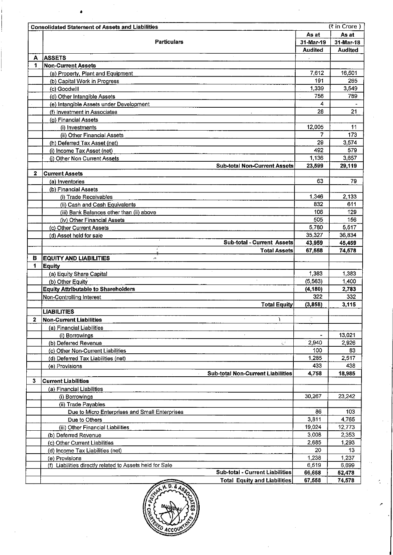| As at<br><b>Particulars</b><br>31-Mar-19<br><b>Audited</b><br><b>ASSETS</b><br>А<br>$\epsilon$<br><b>Non-Current Assets</b><br>1<br>7,612<br>(a) Property, Plant and Equipment<br>191<br>(b) Capital Work in Progress<br>1,339<br>(c) Goodwill<br>756<br>(d) Other Intangible Assets<br>(e) Intangible Assets under Development<br>(f) Investment in Associates | As at<br>31-Mar-18<br><b>Audited</b><br>16,501<br>265<br>3,549<br>789<br>4<br>28<br>21<br>11<br>7<br>173<br>3,574<br>29<br>579<br>3,657<br>29,119 |
|-----------------------------------------------------------------------------------------------------------------------------------------------------------------------------------------------------------------------------------------------------------------------------------------------------------------------------------------------------------------|---------------------------------------------------------------------------------------------------------------------------------------------------|
|                                                                                                                                                                                                                                                                                                                                                                 |                                                                                                                                                   |
|                                                                                                                                                                                                                                                                                                                                                                 |                                                                                                                                                   |
|                                                                                                                                                                                                                                                                                                                                                                 |                                                                                                                                                   |
|                                                                                                                                                                                                                                                                                                                                                                 |                                                                                                                                                   |
|                                                                                                                                                                                                                                                                                                                                                                 |                                                                                                                                                   |
|                                                                                                                                                                                                                                                                                                                                                                 |                                                                                                                                                   |
|                                                                                                                                                                                                                                                                                                                                                                 |                                                                                                                                                   |
|                                                                                                                                                                                                                                                                                                                                                                 |                                                                                                                                                   |
|                                                                                                                                                                                                                                                                                                                                                                 |                                                                                                                                                   |
|                                                                                                                                                                                                                                                                                                                                                                 |                                                                                                                                                   |
|                                                                                                                                                                                                                                                                                                                                                                 |                                                                                                                                                   |
| (g) Financial Assets<br>12,005                                                                                                                                                                                                                                                                                                                                  |                                                                                                                                                   |
| (i) Investments                                                                                                                                                                                                                                                                                                                                                 |                                                                                                                                                   |
| (ii) Other Financial Assets                                                                                                                                                                                                                                                                                                                                     |                                                                                                                                                   |
| (h) Deferred Tax Asset (net)<br>492<br>(i) Income Tax Asset (net)                                                                                                                                                                                                                                                                                               |                                                                                                                                                   |
| 1,136<br>(j) Other Non Current Assets                                                                                                                                                                                                                                                                                                                           |                                                                                                                                                   |
| <b>Sub-total Non-Current Assets</b><br>23,599                                                                                                                                                                                                                                                                                                                   |                                                                                                                                                   |
| $\mathbf{z}$<br><b>Current Assets</b>                                                                                                                                                                                                                                                                                                                           |                                                                                                                                                   |
| 63<br>(a) Inventories                                                                                                                                                                                                                                                                                                                                           | 79                                                                                                                                                |
| (b) Financial Assets                                                                                                                                                                                                                                                                                                                                            |                                                                                                                                                   |
| 1,346<br>(i) Trade Receivables                                                                                                                                                                                                                                                                                                                                  | 2,133                                                                                                                                             |
| 832<br>(ii) Cash and Cash Equivalents                                                                                                                                                                                                                                                                                                                           | 611                                                                                                                                               |
| 106<br>(iii) Bank Balances other than (ii) above                                                                                                                                                                                                                                                                                                                | 129                                                                                                                                               |
| 505<br>(iv) Other Financial Assets                                                                                                                                                                                                                                                                                                                              | 156                                                                                                                                               |
| 5,780<br>(c) Other Current Assets                                                                                                                                                                                                                                                                                                                               | 5,517                                                                                                                                             |
| 35,327<br>(d) Asset held for sale                                                                                                                                                                                                                                                                                                                               | 36,834                                                                                                                                            |
| <b>Sub-total - Current Assets</b><br>43,959                                                                                                                                                                                                                                                                                                                     | 45,459                                                                                                                                            |
| <b>Total Assets</b><br>67,558                                                                                                                                                                                                                                                                                                                                   | 74,578                                                                                                                                            |
| <b>EQUITY AND LIABILITIES</b><br>в<br>$\mathcal{C}^{\mathcal{A}}$                                                                                                                                                                                                                                                                                               |                                                                                                                                                   |
| 1<br><b>Equity</b>                                                                                                                                                                                                                                                                                                                                              |                                                                                                                                                   |
| 1,383<br>(a) Equity Share Capital                                                                                                                                                                                                                                                                                                                               | 1,383                                                                                                                                             |
| (5, 563)<br>(b) Other Equity                                                                                                                                                                                                                                                                                                                                    | 1,400                                                                                                                                             |
| <b>Equity Attributable to Shareholders</b><br>(4, 180)                                                                                                                                                                                                                                                                                                          | 2,783                                                                                                                                             |
| 322<br>Non-Controlling Interest                                                                                                                                                                                                                                                                                                                                 | 332                                                                                                                                               |
| <b>Total Equity</b><br>(3,858)                                                                                                                                                                                                                                                                                                                                  | 3,115                                                                                                                                             |
| <b>LIABILITIES</b>                                                                                                                                                                                                                                                                                                                                              |                                                                                                                                                   |
| Y<br><b>Non-Current Liabilities</b><br>2                                                                                                                                                                                                                                                                                                                        |                                                                                                                                                   |
| (a) Financial Liabilities                                                                                                                                                                                                                                                                                                                                       |                                                                                                                                                   |
| $\cdot$<br>(i) Borrowings                                                                                                                                                                                                                                                                                                                                       | 13,021                                                                                                                                            |
| 2,940<br>(b) Deferred Revenue<br>V.                                                                                                                                                                                                                                                                                                                             | 2926                                                                                                                                              |
| 100<br>(c) Other Non-Current Liabilities                                                                                                                                                                                                                                                                                                                        | 83                                                                                                                                                |
| 1,285<br>(d) Deferred Tax Liabilities (net)<br>433                                                                                                                                                                                                                                                                                                              | 2,517<br>438                                                                                                                                      |
| (e) Provisions<br>4,758<br><b>Sub-total Non-Current Liabilities</b>                                                                                                                                                                                                                                                                                             | 18,985                                                                                                                                            |
| 3<br><b>Current Liabilities</b>                                                                                                                                                                                                                                                                                                                                 |                                                                                                                                                   |
| (a) Financial Liabilities                                                                                                                                                                                                                                                                                                                                       |                                                                                                                                                   |
| 30,267<br>(i) Borrowings                                                                                                                                                                                                                                                                                                                                        | 23,242                                                                                                                                            |
| (ii) Trade Payables                                                                                                                                                                                                                                                                                                                                             |                                                                                                                                                   |
| 86<br>Due to Micro Enterprises and Small Enterprises                                                                                                                                                                                                                                                                                                            | 103                                                                                                                                               |
| 3,811<br>Due to Others                                                                                                                                                                                                                                                                                                                                          | 4,765                                                                                                                                             |
| 19,024<br>(iii) Other Financial Liabilities                                                                                                                                                                                                                                                                                                                     | 12,773                                                                                                                                            |
| 3,008<br>(b) Deferred Revenue                                                                                                                                                                                                                                                                                                                                   | 2.353                                                                                                                                             |
| 2,685<br>(c) Other Current Liabilities                                                                                                                                                                                                                                                                                                                          | 1,293                                                                                                                                             |
| 20<br>(d) Income Tax Liabilities (net)                                                                                                                                                                                                                                                                                                                          | 13                                                                                                                                                |
| 1,238<br>(e) Provisions                                                                                                                                                                                                                                                                                                                                         | 1.237                                                                                                                                             |
| (f) Liabilities directly related to Assets held for Sale<br>6,519                                                                                                                                                                                                                                                                                               | 6 6 9 9                                                                                                                                           |
| <b>Sub-total - Current Liabilities</b><br>66,658                                                                                                                                                                                                                                                                                                                | 52,478                                                                                                                                            |
| <b>Total Equity and Liabilities</b><br>67,558                                                                                                                                                                                                                                                                                                                   | 74,578                                                                                                                                            |



 $\frac{\partial}{\partial t}$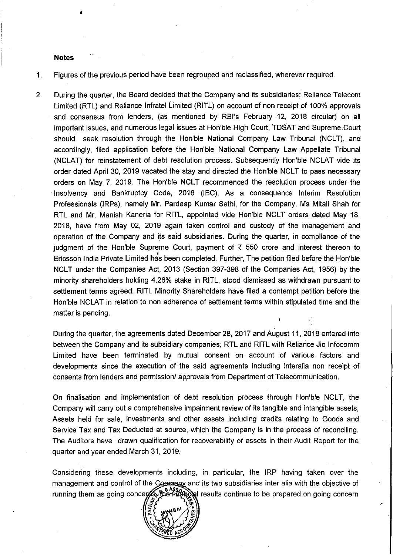#### **Notes**

•

1. Figures of the previous period have been regrouped and reclassified, wherever required.

2. During the quarter, the Board decided that the Company and its subsidiaries; Reliance Telecom Limited (RTL) and Reliance Infratel Limited (RITL) on account of non receipt of 100% approvals and consensus from lenders, (as mentioned by RBI's February 12, 2018 circular) on all important issues, and numerous legal issues at Hon'ble High Court, TDSAT and Supreme Court should seek resolution through the Hon'ble National Company Law Tribunal (NCLT), and accordingly, filed application before the Hon'ble National Company Law Appellate Tribunal (NCLAT) for reinstatement of debt resolution process. Subsequently Hon'ble NCLAT vide its order dated April 30, 2019 vacated the stay and directed the Hon'ble NCLT to pass necessary orders on May 7, 2019. The Hon'ble NCLT recommenced the resolution process under the Insolvency and Bankruptcy Code, 2016 (IBC). As a consequence Interim Resolution Professionals (IRPs), namely Mr. Pardeep Kumar Sethi, for the Company, Ms Mitali Shah for RTL and Mr. Manish Kaneria for RITL, appointed vide Hon'ble NCLT orders dated May 18, 2018, have from May 02, 2019 again taken control and custody of the management and operation of the Company and its said subsidiaries. During the quarter, in compliance of the judgment of the Hon'ble Supreme Court, payment of  $\bar{\tau}$  550 crore and interest thereon to Ericsson India Private Limited has been completed. Further, The petition filed before the Hon'ble NCLT under the Companies Act, 2013 (Section 397-398 of the Companies Act, 1956) by the minority shareholders holding 4.26% stake in RITL, stood dismissed as withdrawn pursuant to settlement terms agreed. RITL Minority Shareholders have filed a contempt petition before the Hon'ble NCLAT in relation to non adherence of settlement terms within stipulated time and the matter is pending.

During the quarter, the agreements dated December 28, 2017 and August 11, 2018 entered into between the Company and its subsidiary companies; RTL and RITL with Reliance Jio Infocomm Limited have been terminated by mutual consent on account of various factors and developments since the execution of the said agreements including interalia non receipt of consents from lenders and permission/ approvals from Department of Telecommunication.

On finalisation and implementation of debt resolution process through Hon'ble NCLT, the Company will carry out a comprehensive impairment review of its tangible and intangible assets, Assets held for sale, investments and other assets including credits relating to Goods and Service Tax and Tax Deducted at source, which the Company is in the process of reconciling. The Auditors have drawn qualification for recoverability of assets in their Audit Report for the quarter and year ended March 31,2019.

Considering these developments including, in particular, the IRP having taken over the management and control of the Company and its two subsidiaries inter alia with the objective of  $^{14882}_{\Lambda\odot}$  and results continue to be prepared on going concern running them as going concers

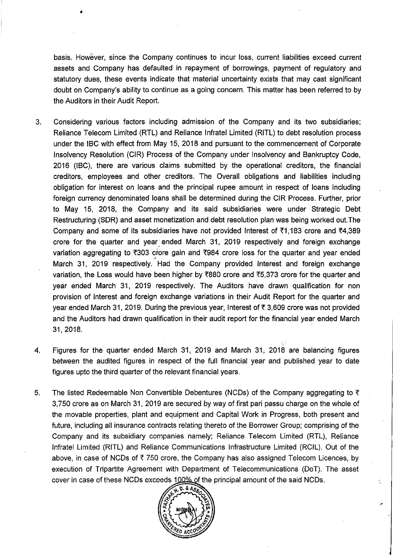basis. However, since the Company continues to incur loss, current liabilities exceed current assets and Company has defaulted in repayment of borrowings, payment of regulatory and statutory dues, these events indicate that material uncertainty exists that may cast significant doubt on Company's ability to continue as a going concern. This matter has been referred to by the Auditors in their Audit Report.

- 3. Considering various factors including admission of the Company and its two subsidiaries; Reliance Telecom Limited (RTL) and Reliance Infratel Limited (RITL) to debt resolution process under the IBC with effect from May 15, 2018 and pursuant to the commencement of Corporate Insolvency Resolution (CIR) Process of the Company under Insolvency and Bankruptcy Code, 2016 (IBC), there are various claims submitted by the operational creditors, the financial creditors, employees and other creditors. The Overall obligations and liabilities including obligation for interest on loans and the principal rupee amount in respect of loans including foreign currency denominated loans shall be determined during the CIR Process. Further, prior to May 15, 2018, the Company and its said subsidiaries were under Strategic Debt Restructuring (SDR) and asset monetization and debt resolution plan was being worked out.The Company and some of its subsidiaries have not provided Interest of  $\bar{\tau}$ 1,183 crore and  $\bar{\tau}$ 4,389 crore for the quarter and year: ended March 31, 2019 respectively and foreign exchange variation aggregating to  $\overline{303}$  crore gain and  $\overline{3984}$  crore loss for the quarter and year ended  $\mathbf{r}$ March 31, 2019 respectively. Had the Company provided Interest and foreign exchange variation, the Loss would have been higher by  $\overline{6880}$  crore and  $\overline{65,373}$  crore for the quarter and year ended March 31, 2019 respectively. The Auditors have drawn qualification for non provision of interest and foreign exchange variations in their Audit Report for the quarter and year ended March 31, 2019. During the previous year, Interest of  $\overline{\tau}$  3,609 crore was not provided and the Auditors had drawn qualification in their audit report for the financial year ended March 31,2018.
- 4. Figures for the quarter ended March 31, 2019 and March 31, 2018 are balancing figures between the audited figures in respect of the full financial year and published year to date figures upto the third quarter of the relevant financial years.
- 5. The listed Redeemable Non Convertible Debentures (NCDs) of the Company aggregating to  $\bar{\tau}$ 3,750 crore as on March 31, 2019 are secured by way of first pari passu charge on the whole of the movable properties, plant and equipment and Capital Work in Progress, both present and future, including all insurance contracts relating thereto of the Borrower Group; comprising of the Company and its subsidiary companies namely; Reliance Telecom Limited (RTL), Reliance Infratel Limited (RITL) and Reliance Communications Infrastructure Limited (RCIL). Out of the above, in case of NCDs of  $\bar{\tau}$  750 crore, the Company has also assigned Telecom Licences, by execution of Tripartite Agreement with Department of Telecommunications (DoT). The asset cover in case of these NCDs exceeds 100% of the principal amount of the said NCDs.

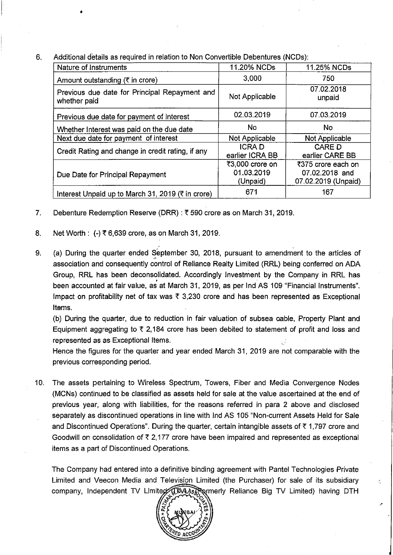6. Additional details as required in relation to Non Convertible Debentures (NCDs):

| Nature of Instruments                                         | 11.20% NCDs                               | 11.25% NCDs                                                 |
|---------------------------------------------------------------|-------------------------------------------|-------------------------------------------------------------|
| Amount outstanding ( $\overline{\tau}$ in crore)              | 3,000                                     | 750                                                         |
| Previous due date for Principal Repayment and<br>whether paid | Not Applicable                            | 07.02.2018<br>unpaid                                        |
| Previous due date for payment of Interest                     | 02.03.2019                                | 07.03.2019                                                  |
| Whether Interest was paid on the due date                     | <b>No</b>                                 | No.                                                         |
| Next due date for payment of interest                         | Not Applicable                            | Not Applicable                                              |
| Credit Rating and change in credit rating, if any             | <b>ICRAD</b><br>earlier ICRA BB           | <b>CARE D</b><br>earlier CARE BB                            |
| Due Date for Principal Repayment                              | ₹3,000 crore on<br>01.03.2019<br>(Unpaid) | ₹375 crore each on<br>07.02.2018 and<br>07.02.2019 (Unpaid) |
| Interest Unpaid up to March 31, 2019 (₹ in crore)             | 671                                       | 167                                                         |

- 7. Debenture Redemption Reserve (DRR):  $\bar{\tau}$  590 crore as on March 31, 2019.
- 8. Net Worth: (-)  $\bar{x}$  6,639 crore, as on March 31, 2019.

•

9. (a) During the quarter ended September 30, 2018, pursuant to amendment to the articles of A association and consequently control of Reliance Realty Limited (RRL) being conferred on ADA Group, RRL has been deconsolidated. Accordingly Investment by the Company in RRL has been accounted at fair value, as at March 31, 2019, as per Ind AS 109 "Financial Instruments". Impact on profitability net of tax was  $\bar{\tau}$  3,230 crore and has been represented as Exceptional Items.

(b) During the quarter, due to reduction in fair valuation of subsea cable, Property Plant and Equipment aggregating to  $\overline{\tau}$  2,184 crore has been debited to statement of profit and loss and represented as as Exceptional Items.

Hence the figures for the quarter and year ended March 31, 2019 are not comparable with the previous corresponding period.

10. The assets pertaining to Wireless Spectrum, Towers, Fiber and Media Convergence Nodes (MCNs) continued to be classified as assets held for sale at the value ascertained at the end of previous year, along with liabilities, for the reasons referred in para 2 above and disclosed separately as discontinued operations in line with Ind AS 105 "Non-current Assets Held for Sale and Discontinued Operations". During the quarter, certain intangible assets of  $\bar{\tau}$  1,797 crore and Goodwill on consolidation of  $\bar{\tau}$  2,177 crore have been impaired and represented as exceptional items as a part of Discontinued Operations.

The Company had entered into a definitive binding agreement with Pantel Technologies Private Limited and Veecon Media and Television Limited (the Purchaser) for sale of its subsidiary company, Independent TV Limited (TMAs Formerly Reliance Big TV Limited) having DTH

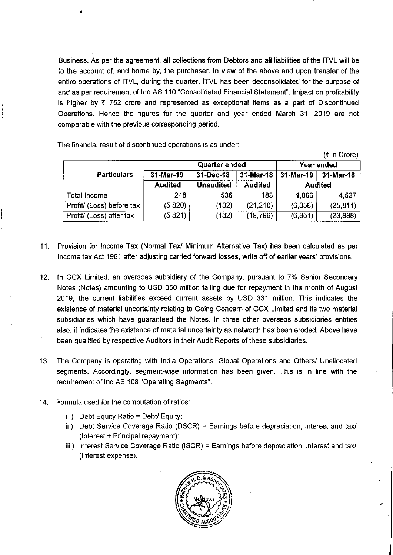Business. As per the agreement, all collections from Debtors and all liabilities of the ITVL will be to the account of, and borne by, the purchaser. In view of the above and upon transfer of the entire operations of ITVL, during the quarter, ITVL has been deconsolidated for the purpose of and as per requirement of Ind AS 110 "Consolidated Financial Statement". Impact on profitability is higher by  $\overline{\tau}$  752 crore and represented as exceptional items as a part of Discontinued Operations. Hence the figures for the quarter and year ended March 31, 2019 are not comparable with the previous corresponding period.

(₹ in Crore) Quarter ended Figure 1 Year ended Particulars 31-Mar-19 31-Dec-18 31-Mar-18 31-Mar-19 31-Mar-18 Audited Unaudited Audited Audited Total Income 1 248 536 183 1,866 4,537 Profit (Loss) before tax  $\vert$  (5,820)  $\vert$  (132)  $\vert$  (21,210)  $\vert$  (6,358) (25,811) Profit/ (Loss) after tax | (5,821) | (132) | (19,796) | (6,351) | (23,888)

The financial result of discontinued operations is as under:

- 11. Provision for Income Tax (Normal Tax/ Minimum Alternative Tax) has been calculated as per Income tax Act 1961 after adjusting carried forward losses, write off of earlier years' provisions.
- 12. In GCX Limited, an overseas subsidiary of the Company, pursuant to 7% Senior Secondary Notes (Notes) amounting to USD 350 million falling due for repayment in the month of August 2019, the current liabilities exceed current assets by USD 331 million. This indicates the existence of material uncertainty relating to Going Concern of GCX Limited and its two material subsidiaries which have guaranteed the Notes. In three other overseas subsidiaries entities also, it indicates the existence of material uncertainty as networth has been eroded. Above have been qualified by respective Auditors in their Audit Reports of these subsidiaries.
- 13. The Company is operating with India Operations, Global Operations and Others! Unallocated segments. Accordingly, segment-Wise information has been given. This is in line with the requirement of Ind AS 108 "Operating Segments".
- 14. Formula used for the computation of ratios:
	- i ) Debt Equity Ratio = Debt/ Equity;
	- ii) Debt Service Coverage Ratio (DSCR) = Earnings before depreciation, interest and taxi (Interest + Principal repayment);
	- iii) Interest Service Coverage Ratio (ISCR) = Earnings before depreciation, interest and tax/ (Interest expense).

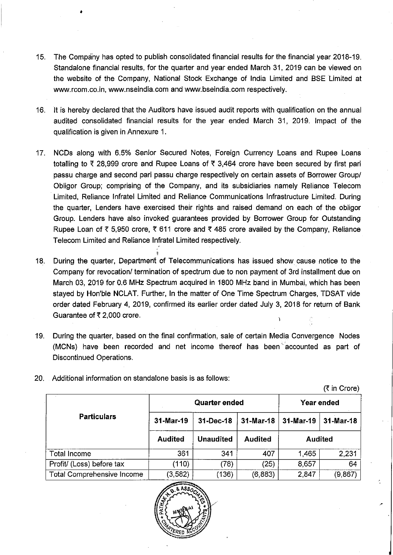- 15. The Company has opted to publish consolidated financial results for the financial year 2018-19. Standalone financial results, for the quarter and year ended March 31, 2019 can be viewed on the website of the Company, National Stock Exchange of India Limited and BSE Limited at www.rcom.co.in, www.nseindia.com and www.bseindia.com respectively.
- 16. It is hereby declared that the Auditors have issued audit reports with qualification on the annual audited consolidated financial results for the year ended March 31, 2019. Impact of the qualification is given in Annexure 1.
- 17. NCDs along with 6.5% Senior Secured Notes, Foreign Currency Loans and Rupee Loans totalling to  $\bar{\tau}$  28,999 crore and Rupee Loans of  $\bar{\tau}$  3,464 crore have been secured by first pari passu charge and second pari passu charge respectively on certain assets of Borrower Group! Obligor Group; comprising of the Company, and its subsidiaries namely Reliance Telecom Limited, Reliance Infratel Limited and Reliance Communications Infrastructure Limited. During the quarter, Lenders have exercised their rights and raised demand on each of the obligor Group. Lenders have also invoked guarantees provided by Borrower Group for Outstanding Rupee Loan of  $\bar{\tau}$  5,950 crore,  $\bar{\tau}$  611 crore and  $\bar{\tau}$  485 crore availed by the Company, Reliance Telecom Limited and Reliance Infratel Limited respectively.
- I 18. During the quarter, Department of Telecommunications has issued show cause notice to the Company for revocation/ termination of spectrum due to non payment of 3rd installment due on March 03, 2019 for 0.6 MHz Spectrum acquired in 1800 MHz band in Mumbai, which has been stayed by Hon'ble NCLAT. Further, In the matter of One Time Spectrum Charges, TDSAT vide order dated February 4, 2019, confirmed its earlier order dated July 3, 2018 for return of Bank Guarantee of  $\overline{\xi}$  2,000 crore.
- 19. During the quarter, based on the final confirmation, sale of certain Media Convergence Nodes (MCNs) have been recorded and net income thereof has been' accounted as part of Discontinued Operations.

|                                   |                | <b>Quarter ended</b> | Year ended     |           |                |
|-----------------------------------|----------------|----------------------|----------------|-----------|----------------|
| <b>Particulars</b>                | 31-Mar-19      | 31-Dec-18            | $31 - Mar-18$  | 31-Mar-19 | 31-Mar-18      |
|                                   | <b>Audited</b> | <b>Unaudited</b>     | <b>Audited</b> |           | <b>Audited</b> |
| Total Income                      | 361            | 341                  | 407            | 1,465     | 2.231          |
| Profit/ (Loss) before tax         | (110)          | (78)                 | (25)           | 8.657     | 64             |
| <b>Total Comprehensive Income</b> | (3, 582)       | (136)                | (6,883)        | 2,847     | (9, 867)       |

20. Additional information on standalone basis is as follows:

•

 $($ ₹ in Crore)

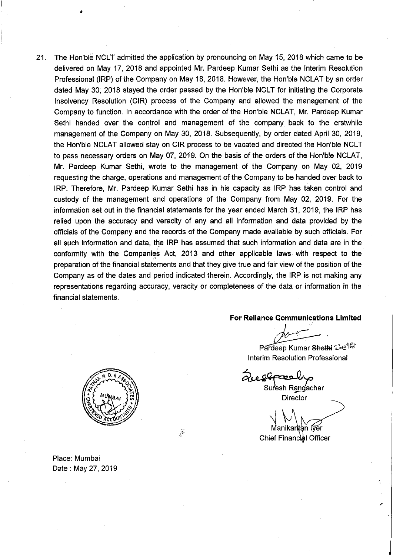21. The Hon'ble NCLT admitted the application by pronouncing on May 15, 2018 which came to be delivered on May 17, 2018 and appointed Mr. Pardeep Kumar Sethi as the Interim Resolution Professional (IRP) of the Company on May 18, 2018. However, the Hon'ble NCLAT by an order dated May 30, 2018 stayed the order passed by the Hon'ble NClT for initiating the Corporate Insolvency Resolution (CIR) process of the Company and allowed the management of the Company to function. In accordance with the order of the Hon'ble NCLAT, Mr. Pardeep Kumar Sethi handed over the control and management of the company back to the erstwhile management of the Company on May 30, 2018. Subsequently, by order dated April 30, 2019, the Hon'ble NCLAT allowed stay on CIR process to be vacated and directed the Hon'ble NClT to pass necessary orders on May 07, 2019. On the basis of the orders of the Hon'ble NCLAT, Mr. Pardeep Kumar Sethi, wrote to the management of the Company on May 02, 2019 requesting the charge, operations and management of the Company to be handed over back to IRP. Therefore, Mr. Pardeep Kumar Sethi has in his capacity as IRP has taken control and custody of the management and operations of the Company from May 02, 2019. For the information set out in the financial statements for the year ended March 31, 2019, the IRP has relied upon the accuracy and veracity of any and all information and data provided by the officials of the Company and the records of the Company made available by such officials. For all such information and data, the IRP has assumed that such information and data are in the conformity with the Companies Act, 2013 and other applicable laws with respect to the preparation of the financial statements and that they give true and fair view of the position of the Company as of the dates and period indicated therein. Accordingly, the IRP is not making any representations regarding accuracy, veracity or completeness of the data or information in the financial statements.

**For Reliance Communications Limited**

 $\frac{1}{\sqrt{\frac{1}{1+\frac{1}{1+\frac{1}{1+\frac{1}{1+\frac{1}{1+\frac{1}{1+\frac{1}{1+\frac{1}{1+\frac{1}{1+\frac{1}{1+\frac{1}{1+\frac{1}{1+\frac{1}{1+\frac{1}{1+\frac{1}{1+\frac{1}{1+\frac{1}{1+\frac{1}{1+\frac{1}{1+\frac{1}{1+\frac{1}{1+\frac{1}{1+\frac{1}{1+\frac{1}{1+\frac{1}{1+\frac{1}{1+\frac{1}{1+\frac{1}{1+\frac{1}{1+\frac{1}{1+\frac{1}{1+\frac{1}{1+\frac{1}{1+\frac{1}{1+\frac{1}{1+\frac{$ 

Pardeep Kumar Shethi Se<sup>tt</sup>ii Interim Resolution Professional

200 effæs

Suresh Rangachar Director

Manikantan Iver

Chief Financial Officer



Place: Mumbai Date: May 27,2019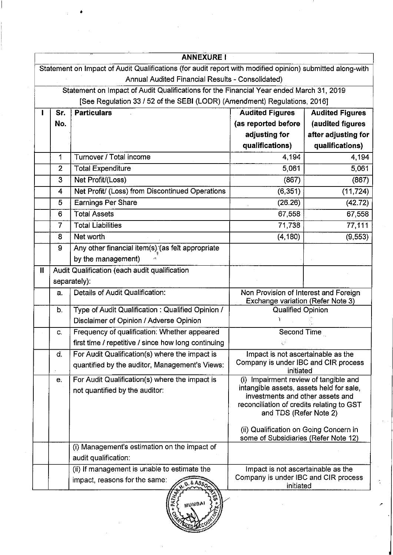|              |                | <b>ANNEXURE!</b>                                                                                          |                                                                                                                                                                                              |                        |
|--------------|----------------|-----------------------------------------------------------------------------------------------------------|----------------------------------------------------------------------------------------------------------------------------------------------------------------------------------------------|------------------------|
|              |                | Statement on Impact of Audit Qualifications (for audit report with modified opinion) submitted along-with |                                                                                                                                                                                              |                        |
|              |                | Annual Audited Financial Results - Consolidated)                                                          |                                                                                                                                                                                              |                        |
|              |                | Statement on Impact of Audit Qualifications for the Financial Year ended March 31, 2019                   |                                                                                                                                                                                              |                        |
|              |                | [See Regulation 33 / 52 of the SEBI (LODR) (Amendment) Regulations, 2016]                                 |                                                                                                                                                                                              |                        |
|              | Sr.            | <b>Particulars</b>                                                                                        | <b>Audited Figures</b>                                                                                                                                                                       | <b>Audited Figures</b> |
|              | No.            |                                                                                                           | (as reported before                                                                                                                                                                          | (audited figures       |
|              |                |                                                                                                           | adjusting for                                                                                                                                                                                | after adjusting for    |
|              |                |                                                                                                           | qualifications)                                                                                                                                                                              | qualifications)        |
|              | 1              | Turnover / Total income                                                                                   | 4,194                                                                                                                                                                                        | 4,194                  |
|              | $\overline{2}$ | <b>Total Expenditure</b>                                                                                  | 5,061                                                                                                                                                                                        | 5,061                  |
|              | 3              | Net Profit/(Loss)                                                                                         | (867)                                                                                                                                                                                        | (867)                  |
|              | 4              | Net Profit/ (Loss) from Discontinued Operations                                                           | (6, 351)                                                                                                                                                                                     | (11, 724)              |
|              | 5              | <b>Earnings Per Share</b>                                                                                 | (26.26)                                                                                                                                                                                      | (42.72)                |
|              | 6              | <b>Total Assets</b>                                                                                       | 67,558                                                                                                                                                                                       | 67,558                 |
|              | $\overline{7}$ | <b>Total Liabilities</b>                                                                                  | 71,738                                                                                                                                                                                       | 77,111                 |
|              | 8              | Net worth                                                                                                 | (4, 180)                                                                                                                                                                                     | (9, 553)               |
|              | 9              | Any other financial item(s) (as felt appropriate                                                          |                                                                                                                                                                                              |                        |
|              |                | by the management)                                                                                        |                                                                                                                                                                                              |                        |
| $\mathbf{I}$ |                | Audit Qualification (each audit qualification                                                             |                                                                                                                                                                                              |                        |
|              |                | separately):                                                                                              |                                                                                                                                                                                              |                        |
|              | a.             | Details of Audit Qualification:                                                                           | Non Provision of Interest and Foreign<br>Exchange variation (Refer Note 3)                                                                                                                   |                        |
|              | b.             | Type of Audit Qualification: Qualified Opinion /                                                          | <b>Qualified Opinion</b>                                                                                                                                                                     |                        |
|              |                | Disclaimer of Opinion / Adverse Opinion                                                                   |                                                                                                                                                                                              |                        |
|              | C.             | Frequency of qualification: Whether appeared                                                              | Second Time                                                                                                                                                                                  |                        |
|              |                | first time / repetitive / since how long continuing                                                       |                                                                                                                                                                                              |                        |
|              | d.             | For Audit Qualification(s) where the impact is                                                            | Impact is not ascertainable as the                                                                                                                                                           |                        |
|              |                | quantified by the auditor, Management's Views:                                                            | Company is under IBC and CIR process<br>initiated                                                                                                                                            |                        |
|              | e.             | For Audit Qualification(s) where the impact is<br>not quantified by the auditor:                          | (i) Impairment review of tangible and<br>intangible assets, assets held for sale,<br>investments and other assets and<br>reconciliation of credits relating to GST<br>and TDS (Refer Note 2) |                        |
|              |                |                                                                                                           | (ii) Qualification on Going Concern in<br>some of Subsidiaries (Refer Note 12)                                                                                                               |                        |
|              |                | (i) Management's estimation on the impact of                                                              |                                                                                                                                                                                              |                        |
|              |                | audit qualification:                                                                                      |                                                                                                                                                                                              |                        |
|              |                | (ii) If management is unable to estimate the                                                              | Impact is not ascertainable as the                                                                                                                                                           |                        |
|              |                | impact, reasons for the same:<br>$0.68s_0$                                                                | Company is under IBC and CIR process<br>initiated                                                                                                                                            |                        |
|              |                | MUMBAI                                                                                                    |                                                                                                                                                                                              |                        |

 $\bar{z}$ 

k.

à.

 $\frac{1}{2}$ 

 $\langle \cdot \rangle_{\rm{S}}$ 

 $\frac{1}{2}$ Weep Mco

•

 $\label{eq:2} \frac{1}{2}\sum_{i=1}^n\frac{1}{2}\sum_{j=1}^n\frac{1}{2}\sum_{j=1}^n\frac{1}{2}\sum_{j=1}^n\frac{1}{2}\sum_{j=1}^n\frac{1}{2}\sum_{j=1}^n\frac{1}{2}\sum_{j=1}^n\frac{1}{2}\sum_{j=1}^n\frac{1}{2}\sum_{j=1}^n\frac{1}{2}\sum_{j=1}^n\frac{1}{2}\sum_{j=1}^n\frac{1}{2}\sum_{j=1}^n\frac{1}{2}\sum_{j=1}^n\frac{1}{2}\sum_{j=1}^n\frac{$ 

 $\sim$   $\sim$ 

 $\bar{z}$ 

 $\bar{z}$